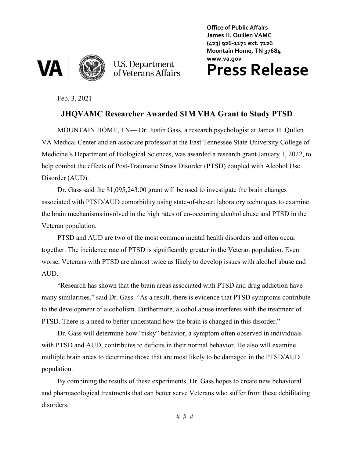



U.S. Department<br>of Veterans Affairs

**Office of Public Affairs James H. Quillen VAMC (423) 926-1171 ext. 7126 Mountain Home, TN 37684 www.va.gov**

## **Press Release**

Feb. 3, 2021

## **JHQVAMC Researcher Awarded \$1M VHA Grant to Study PTSD**

MOUNTAIN HOME, TN— Dr. Justin Gass, a research psychologist at James H. Qullen VA Medical Center and an associate professor at the East Tennessee State University College of Medicine's Department of Biological Sciences, was awarded a research grant January 1, 2022, to help combat the effects of Post-Traumatic Stress Disorder (PTSD) coupled with Alcohol Use Disorder (AUD).

Dr. Gass said the \$1,095,243.00 grant will be used to investigate the brain changes associated with PTSD/AUD comorbidity using state-of-the-art laboratory techniques to examine the brain mechanisms involved in the high rates of co-occurring alcohol abuse and PTSD in the Veteran population.

PTSD and AUD are two of the most common mental health disorders and often occur together. The incidence rate of PTSD is significantly greater in the Veteran population. Even worse, Veterans with PTSD are almost twice as likely to develop issues with alcohol abuse and AUD.

"Research has shown that the brain areas associated with PTSD and drug addiction have many similarities," said Dr. Gass. "As a result, there is evidence that PTSD symptoms contribute to the development of alcoholism. Furthermore, alcohol abuse interferes with the treatment of PTSD. There is a need to better understand how the brain is changed in this disorder."

Dr. Gass will determine how "risky" behavior, a symptom often observed in individuals with PTSD and AUD, contributes to deficits in their normal behavior. He also will examine multiple brain areas to determine those that are most likely to be damaged in the PTSD/AUD population.

By combining the results of these experiments, Dr. Gass hopes to create new behavioral and pharmacological treatments that can better serve Veterans who suffer from these debilitating disorders.

# # #